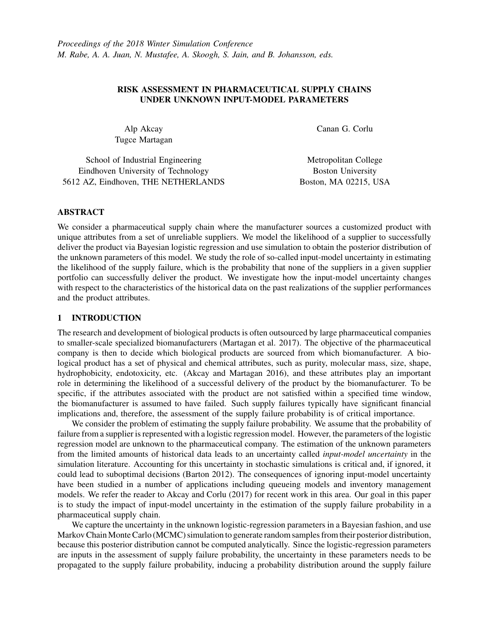## RISK ASSESSMENT IN PHARMACEUTICAL SUPPLY CHAINS UNDER UNKNOWN INPUT-MODEL PARAMETERS

Alp Akcay Tugce Martagan Canan G. Corlu

School of Industrial Engineering Eindhoven University of Technology 5612 AZ, Eindhoven, THE NETHERLANDS

Metropolitan College Boston University Boston, MA 02215, USA

## ABSTRACT

We consider a pharmaceutical supply chain where the manufacturer sources a customized product with unique attributes from a set of unreliable suppliers. We model the likelihood of a supplier to successfully deliver the product via Bayesian logistic regression and use simulation to obtain the posterior distribution of the unknown parameters of this model. We study the role of so-called input-model uncertainty in estimating the likelihood of the supply failure, which is the probability that none of the suppliers in a given supplier portfolio can successfully deliver the product. We investigate how the input-model uncertainty changes with respect to the characteristics of the historical data on the past realizations of the supplier performances and the product attributes.

## 1 INTRODUCTION

The research and development of biological products is often outsourced by large pharmaceutical companies to smaller-scale specialized biomanufacturers (Martagan et al. 2017). The objective of the pharmaceutical company is then to decide which biological products are sourced from which biomanufacturer. A biological product has a set of physical and chemical attributes, such as purity, molecular mass, size, shape, hydrophobicity, endotoxicity, etc. (Akcay and Martagan 2016), and these attributes play an important role in determining the likelihood of a successful delivery of the product by the biomanufacturer. To be specific, if the attributes associated with the product are not satisfied within a specified time window, the biomanufacturer is assumed to have failed. Such supply failures typically have significant financial implications and, therefore, the assessment of the supply failure probability is of critical importance.

We consider the problem of estimating the supply failure probability. We assume that the probability of failure from a supplier is represented with a logistic regression model. However, the parameters of the logistic regression model are unknown to the pharmaceutical company. The estimation of the unknown parameters from the limited amounts of historical data leads to an uncertainty called *input-model uncertainty* in the simulation literature. Accounting for this uncertainty in stochastic simulations is critical and, if ignored, it could lead to suboptimal decisions (Barton 2012). The consequences of ignoring input-model uncertainty have been studied in a number of applications including queueing models and inventory management models. We refer the reader to Akcay and Corlu (2017) for recent work in this area. Our goal in this paper is to study the impact of input-model uncertainty in the estimation of the supply failure probability in a pharmaceutical supply chain.

We capture the uncertainty in the unknown logistic-regression parameters in a Bayesian fashion, and use Markov Chain Monte Carlo (MCMC) simulation to generate random samples from their posterior distribution, because this posterior distribution cannot be computed analytically. Since the logistic-regression parameters are inputs in the assessment of supply failure probability, the uncertainty in these parameters needs to be propagated to the supply failure probability, inducing a probability distribution around the supply failure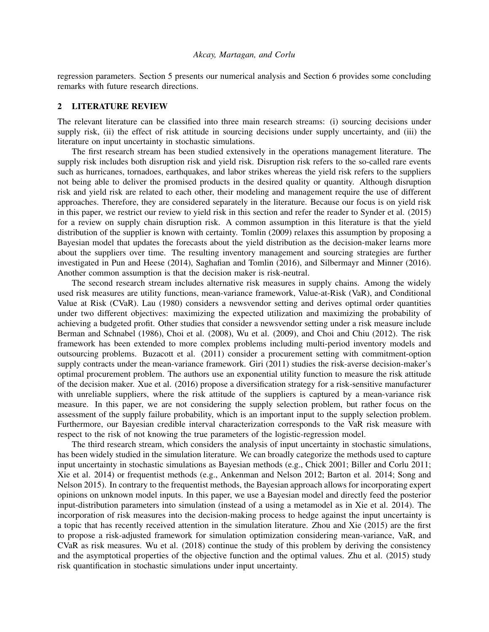regression parameters. Section 5 presents our numerical analysis and Section 6 provides some concluding remarks with future research directions.

### 2 LITERATURE REVIEW

The relevant literature can be classified into three main research streams: (i) sourcing decisions under supply risk, (ii) the effect of risk attitude in sourcing decisions under supply uncertainty, and (iii) the literature on input uncertainty in stochastic simulations.

The first research stream has been studied extensively in the operations management literature. The supply risk includes both disruption risk and yield risk. Disruption risk refers to the so-called rare events such as hurricanes, tornadoes, earthquakes, and labor strikes whereas the yield risk refers to the suppliers not being able to deliver the promised products in the desired quality or quantity. Although disruption risk and yield risk are related to each other, their modeling and management require the use of different approaches. Therefore, they are considered separately in the literature. Because our focus is on yield risk in this paper, we restrict our review to yield risk in this section and refer the reader to Synder et al. (2015) for a review on supply chain disruption risk. A common assumption in this literature is that the yield distribution of the supplier is known with certainty. Tomlin (2009) relaxes this assumption by proposing a Bayesian model that updates the forecasts about the yield distribution as the decision-maker learns more about the suppliers over time. The resulting inventory management and sourcing strategies are further investigated in Pun and Heese (2014), Saghafian and Tomlin (2016), and Silbermayr and Minner (2016). Another common assumption is that the decision maker is risk-neutral.

The second research stream includes alternative risk measures in supply chains. Among the widely used risk measures are utility functions, mean-variance framework, Value-at-Risk (VaR), and Conditional Value at Risk (CVaR). Lau (1980) considers a newsvendor setting and derives optimal order quantities under two different objectives: maximizing the expected utilization and maximizing the probability of achieving a budgeted profit. Other studies that consider a newsvendor setting under a risk measure include Berman and Schnabel (1986), Choi et al. (2008), Wu et al. (2009), and Choi and Chiu (2012). The risk framework has been extended to more complex problems including multi-period inventory models and outsourcing problems. Buzacott et al. (2011) consider a procurement setting with commitment-option supply contracts under the mean-variance framework. Giri (2011) studies the risk-averse decision-maker's optimal procurement problem. The authors use an exponential utility function to measure the risk attitude of the decision maker. Xue et al. (2016) propose a diversification strategy for a risk-sensitive manufacturer with unreliable suppliers, where the risk attitude of the suppliers is captured by a mean-variance risk measure. In this paper, we are not considering the supply selection problem, but rather focus on the assessment of the supply failure probability, which is an important input to the supply selection problem. Furthermore, our Bayesian credible interval characterization corresponds to the VaR risk measure with respect to the risk of not knowing the true parameters of the logistic-regression model.

The third research stream, which considers the analysis of input uncertainty in stochastic simulations, has been widely studied in the simulation literature. We can broadly categorize the methods used to capture input uncertainty in stochastic simulations as Bayesian methods (e.g., Chick 2001; Biller and Corlu 2011; Xie et al. 2014) or frequentist methods (e.g., Ankenman and Nelson 2012; Barton et al. 2014; Song and Nelson 2015). In contrary to the frequentist methods, the Bayesian approach allows for incorporating expert opinions on unknown model inputs. In this paper, we use a Bayesian model and directly feed the posterior input-distribution parameters into simulation (instead of a using a metamodel as in Xie et al. 2014). The incorporation of risk measures into the decision-making process to hedge against the input uncertainty is a topic that has recently received attention in the simulation literature. Zhou and Xie (2015) are the first to propose a risk-adjusted framework for simulation optimization considering mean-variance, VaR, and CVaR as risk measures. Wu et al. (2018) continue the study of this problem by deriving the consistency and the asymptotical properties of the objective function and the optimal values. Zhu et al. (2015) study risk quantification in stochastic simulations under input uncertainty.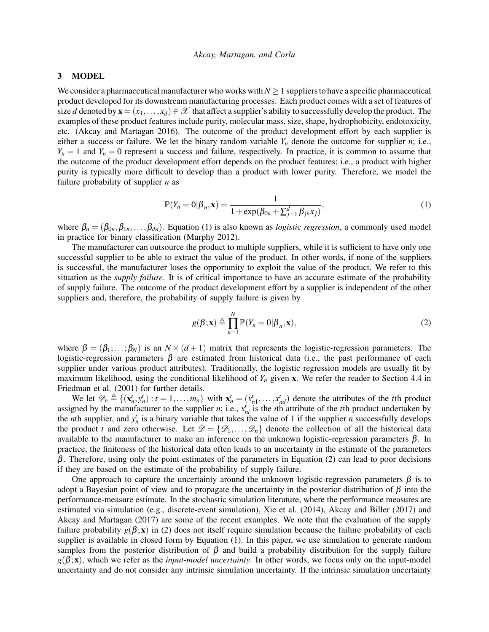### 3 MODEL

We consider a pharmaceutical manufacturer who works with  $N \geq 1$  suppliers to have a specific pharmaceutical product developed for its downstream manufacturing processes. Each product comes with a set of features of size *d* denoted by  $\mathbf{x} = (x_1, \ldots, x_d) \in \mathcal{X}$  that affect a supplier's ability to successfully develop the product. The examples of these product features include purity, molecular mass, size, shape, hydrophobicity, endotoxicity, etc. (Akcay and Martagan 2016). The outcome of the product development effort by each supplier is either a success or failure. We let the binary random variable  $Y_n$  denote the outcome for supplier *n*; i.e.,  $Y_n = 1$  and  $Y_n = 0$  represent a success and failure, respectively. In practice, it is common to assume that the outcome of the product development effort depends on the product features; i.e., a product with higher purity is typically more difficult to develop than a product with lower purity. Therefore, we model the failure probability of supplier *n* as

$$
\mathbb{P}(Y_n = 0 | \beta_n, \mathbf{x}) = \frac{1}{1 + \exp(\beta_{0n} + \sum_{j=1}^d \beta_{jn} x_j)},
$$
\n(1)

where  $\beta_n = (\beta_{0n}, \beta_{1n}, \dots, \beta_{dn})$ . Equation (1) is also known as *logistic regression*, a commonly used model in practice for binary classification (Murphy 2012).

The manufacturer can outsource the product to multiple suppliers, while it is sufficient to have only one successful supplier to be able to extract the value of the product. In other words, if none of the suppliers is successful, the manufacturer loses the opportunity to exploit the value of the product. We refer to this situation as the *supply failure*. It is of critical importance to have an accurate estimate of the probability of supply failure. The outcome of the product development effort by a supplier is independent of the other suppliers and, therefore, the probability of supply failure is given by

$$
g(\boldsymbol{\beta}; \mathbf{x}) \triangleq \prod_{n=1}^{N} \mathbb{P}(Y_n = 0 | \boldsymbol{\beta}_n, \mathbf{x}),
$$
\n(2)

where  $\beta = (\beta_1; \ldots; \beta_N)$  is an  $N \times (d+1)$  matrix that represents the logistic-regression parameters. The logistic-regression parameters  $β$  are estimated from historical data (i.e., the past performance of each supplier under various product attributes). Traditionally, the logistic regression models are usually fit by maximum likelihood, using the conditional likelihood of  $Y_n$  given x. We refer the reader to Section 4.4 in Friedman et al. (2001) for further details.

We let  $\mathcal{D}_n \triangleq \{(\mathbf{x}_n^t, y_n^t): t = 1, \ldots, m_n\}$  with  $\mathbf{x}_n^t = (x_{n1}^t, \ldots, x_{nd}^t)$  denote the attributes of the tth product assigned by the manufacturer to the supplier *n*; i.e.,  $x_{ni}^t$  is the *i*th attribute of the *t*th product undertaken by the *n*th supplier, and  $y_n^t$  is a binary variable that takes the value of 1 if the supplier *n* successfully develops the product *t* and zero otherwise. Let  $\mathcal{D} = {\mathcal{D}_1, \ldots, \mathcal{D}_n}$  denote the collection of all the historical data available to the manufacturer to make an inference on the unknown logistic-regression parameters  $β$ . In practice, the finiteness of the historical data often leads to an uncertainty in the estimate of the parameters  $β$ . Therefore, using only the point estimates of the parameters in Equation (2) can lead to poor decisions if they are based on the estimate of the probability of supply failure.

One approach to capture the uncertainty around the unknown logistic-regression parameters  $\beta$  is to adopt a Bayesian point of view and to propagate the uncertainty in the posterior distribution of  $\beta$  into the performance-measure estimate. In the stochastic simulation literature, where the performance measures are estimated via simulation (e.g., discrete-event simulation), Xie et al. (2014), Akcay and Biller (2017) and Akcay and Martagan (2017) are some of the recent examples. We note that the evaluation of the supply failure probability  $g(\beta; x)$  in (2) does not itself require simulation because the failure probability of each supplier is available in closed form by Equation (1). In this paper, we use simulation to generate random samples from the posterior distribution of  $\beta$  and build a probability distribution for the supply failure  $g(\beta; x)$ , which we refer as the *input-model uncertainty*. In other words, we focus only on the input-model uncertainty and do not consider any intrinsic simulation uncertainty. If the intrinsic simulation uncertainty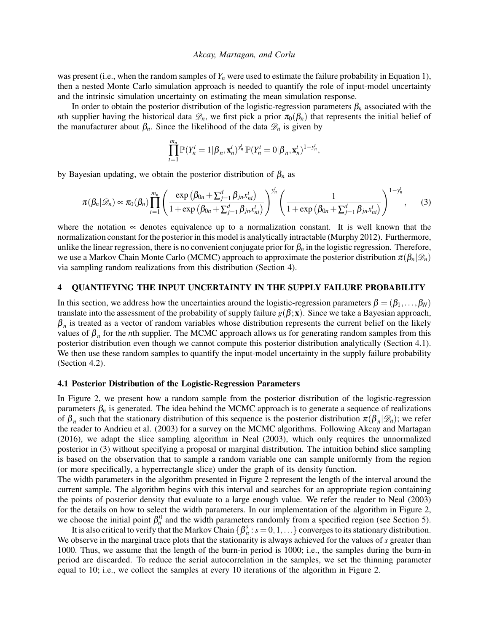was present (i.e., when the random samples of  $Y_n$  were used to estimate the failure probability in Equation 1), then a nested Monte Carlo simulation approach is needed to quantify the role of input-model uncertainty and the intrinsic simulation uncertainty on estimating the mean simulation response.

In order to obtain the posterior distribution of the logistic-regression parameters  $\beta_n$  associated with the *n*th supplier having the historical data  $\mathcal{D}_n$ , we first pick a prior  $\pi_0(\beta_n)$  that represents the initial belief of the manufacturer about  $\beta_n$ . Since the likelihood of the data  $\mathcal{D}_n$  is given by

$$
\prod_{t=1}^{m_n} \mathbb{P}(Y_n^t = 1 | \boldsymbol{\beta}_n, \mathbf{x}_n^t)^{y_n^t} \mathbb{P}(Y_n^t = 0 | \boldsymbol{\beta}_n, \mathbf{x}_n^t)^{1 - y_n^t},
$$

by Bayesian updating, we obtain the posterior distribution of β*<sup>n</sup>* as

$$
\pi(\beta_n|\mathscr{D}_n) \propto \pi_0(\beta_n) \prod_{t=1}^{m_n} \left( \frac{\exp\left(\beta_{0n} + \sum_{j=1}^d \beta_{jn} x_{ni}^t\right)}{1 + \exp\left(\beta_{0n} + \sum_{j=1}^d \beta_{jn} x_{ni}^t\right)} \right)^{y_n^t} \left( \frac{1}{1 + \exp\left(\beta_{0n} + \sum_{j=1}^d \beta_{jn} x_{ni}^t\right)} \right)^{1 - y_n^t}, \quad (3)
$$

where the notation  $\infty$  denotes equivalence up to a normalization constant. It is well known that the normalization constant for the posterior in this model is analytically intractable (Murphy 2012). Furthermore, unlike the linear regression, there is no convenient conjugate prior for  $\beta_n$  in the logistic regression. Therefore, we use a Markov Chain Monte Carlo (MCMC) approach to approximate the posterior distribution  $\pi(\beta_n|\mathcal{D}_n)$ via sampling random realizations from this distribution (Section 4).

# 4 QUANTIFYING THE INPUT UNCERTAINTY IN THE SUPPLY FAILURE PROBABILITY

In this section, we address how the uncertainties around the logistic-regression parameters  $\beta = (\beta_1, \dots, \beta_N)$ translate into the assessment of the probability of supply failure  $g(\beta; x)$ . Since we take a Bayesian approach,  $\beta_n$  is treated as a vector of random variables whose distribution represents the current belief on the likely values of  $\beta_n$  for the *n*th supplier. The MCMC approach allows us for generating random samples from this posterior distribution even though we cannot compute this posterior distribution analytically (Section 4.1). We then use these random samples to quantify the input-model uncertainty in the supply failure probability (Section 4.2).

#### 4.1 Posterior Distribution of the Logistic-Regression Parameters

In Figure 2, we present how a random sample from the posterior distribution of the logistic-regression parameters  $\beta_n$  is generated. The idea behind the MCMC approach is to generate a sequence of realizations of  $\beta_n$  such that the stationary distribution of this sequence is the posterior distribution  $\pi(\beta_n|\mathcal{D}_n)$ ; we refer the reader to Andrieu et al. (2003) for a survey on the MCMC algorithms. Following Akcay and Martagan (2016), we adapt the slice sampling algorithm in Neal (2003), which only requires the unnormalized posterior in (3) without specifying a proposal or marginal distribution. The intuition behind slice sampling is based on the observation that to sample a random variable one can sample uniformly from the region (or more specifically, a hyperrectangle slice) under the graph of its density function.

The width parameters in the algorithm presented in Figure 2 represent the length of the interval around the current sample. The algorithm begins with this interval and searches for an appropriate region containing the points of posterior density that evaluate to a large enough value. We refer the reader to Neal (2003) for the details on how to select the width parameters. In our implementation of the algorithm in Figure 2, we choose the initial point  $\beta_n^0$  and the width parameters randomly from a specified region (see Section 5).

It is also critical to verify that the Markov Chain  $\{\beta_n^s : s = 0, 1, ...\}$  converges to its stationary distribution. We observe in the marginal trace plots that the stationarity is always achieved for the values of *s* greater than 1000. Thus, we assume that the length of the burn-in period is 1000; i.e., the samples during the burn-in period are discarded. To reduce the serial autocorrelation in the samples, we set the thinning parameter equal to 10; i.e., we collect the samples at every 10 iterations of the algorithm in Figure 2.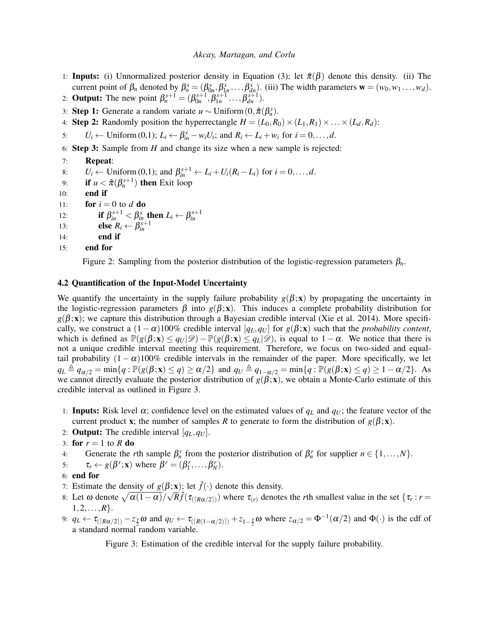- 1: **Inputs:** (i) Unnormalized posterior density in Equation (3); let  $\hat{\pi}(\beta)$  denote this density. (ii) The current point of  $\beta_n$  denoted by  $\beta_n^s = (\beta_{0n}^s, \beta_{1n}^s, \dots, \beta_{dn}^s)$ . (iii) The width parameters  $\mathbf{w} = (w_0, w_1, \dots, w_d)$ .
- 2: **Output:** The new point  $\beta_n^{s+1} = (\beta_{0n}^{s+1}, \beta_{1n}^{s+1}, \dots, \beta_{dn}^{s+1}).$
- 3: **Step 1:** Generate a random variate  $u \sim \text{Uniform}(0, \hat{\pi}(\beta_n^s))$ .
- 4: **Step 2:** Randomly position the hyperrectangle  $H = (L_0, R_0) \times (L_1, R_1) \times \ldots \times (L_d, R_d)$ :

5:  $U_i \leftarrow \text{Uniform } (0,1); L_i \leftarrow \beta_{in}^s - w_i U_i; \text{ and } R_i \leftarrow L_i + w_i \text{ for } i = 0, \ldots, d.$ 

6: Step 3: Sample from *H* and change its size when a new sample is rejected:

```
7: Repeat:
```

```
8: U_i \leftarrow \text{Uniform } (0,1); and \beta_{in}^{s+1} \leftarrow L_i + U_i(R_i - L_i) \text{ for } i = 0, ..., d.
```

```
9: if u < \hat{\pi}(\beta_n^{s+1}) then Exit loop
```

```
10: end if
```
11: **for**  $i = 0$  to  $d$  **do** 

```
12: if \beta_{in}^{s+1} < \beta_{in}^s then L_i \leftarrow \beta_{in}^{s+1}<br>13: else R_i \leftarrow \beta_{in}^{s+1}
```
- 
- 14: end if

```
15: end for
```
Figure 2: Sampling from the posterior distribution of the logistic-regression parameters β*n*.

## 4.2 Quantification of the Input-Model Uncertainty

We quantify the uncertainty in the supply failure probability  $g(\beta; x)$  by propagating the uncertainty in the logistic-regression parameters  $\beta$  into  $g(\beta; x)$ . This induces a complete probability distribution for  $g(\beta; x)$ ; we capture this distribution through a Bayesian credible interval (Xie et al. 2014). More specifically, we construct a  $(1-\alpha)100\%$  credible interval  $[q_L, q_U]$  for  $g(\beta; \mathbf{x})$  such that the *probability content*, which is defined as  $\mathbb{P}(g(\beta;\mathbf{x}) \leq q_U|\mathcal{D}) - \mathbb{P}(g(\beta;\mathbf{x}) \leq q_L|\mathcal{D})$ , is equal to  $1 - \alpha$ . We notice that there is not a unique credible interval meeting this requirement. Therefore, we focus on two-sided and equaltail probability  $(1 - \alpha)100\%$  credible intervals in the remainder of the paper. More specifically, we let  $q_L \triangleq q_{\alpha/2} = \min\{q : \mathbb{P}(g(\beta; \mathbf{x}) \leq q) \geq \alpha/2\}$  and  $q_U \triangleq q_{1-\alpha/2} = \min\{q : \mathbb{P}(g(\beta; \mathbf{x}) \leq q) \geq 1-\alpha/2\}$ . As we cannot directly evaluate the posterior distribution of  $g(\beta; x)$ , we obtain a Monte-Carlo estimate of this credible interval as outlined in Figure 3.

- 1: **Inputs:** Risk level  $\alpha$ ; confidence level on the estimated values of  $q_L$  and  $q_U$ ; the feature vector of the current product x; the number of samples *R* to generate to form the distribution of  $g(\beta; x)$ .
- 2: **Output:** The credible interval  $[q_L, q_U]$ .
- 3: for  $r = 1$  to  $R$  do
- 4: Generate the *r*th sample  $\beta_n^r$  from the posterior distribution of  $\beta_n^r$  for supplier  $n \in \{1, ..., N\}$ .
- 5:  $\tau_r \leftarrow g(\beta^r; \mathbf{x})$  where  $\beta^r = (\beta_1^r, \dots, \beta_N^r)$ .
- 6: end for
- 7: Estimate the density of *g*( $\beta$ ; x); let  $\hat{f}(\cdot)$  denote this density.
- 8: Let  $\omega$  denote  $\sqrt{\alpha(1-\alpha)}/\sqrt{R}\hat{f}(\tau_{(\lceil R\alpha/2\rceil)})$  where  $\tau_{(r)}$  denotes the *r*th smallest value in the set  $\{\tau_r : r =$ 1,2,...,*R*}.
- 9:  $q_L \leftarrow \tau_{(\lceil R\alpha/2 \rceil)} z_{\frac{\gamma}{2}}\omega$  and  $q_U \leftarrow \tau_{(\lceil R(1-\alpha/2) \rceil)} + z_{1-\frac{\gamma}{2}}\omega$  where  $z_{\alpha/2} = \Phi^{-1}(\alpha/2)$  and  $\Phi(\cdot)$  is the cdf of a standard normal random variable.

Figure 3: Estimation of the credible interval for the supply failure probability.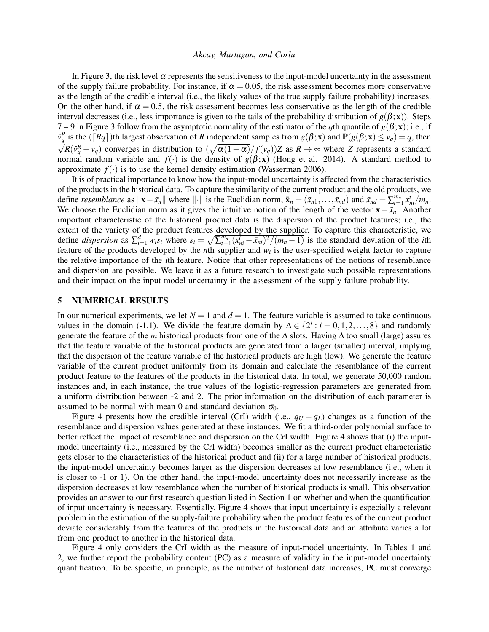In Figure 3, the risk level  $\alpha$  represents the sensitiveness to the input-model uncertainty in the assessment of the supply failure probability. For instance, if  $\alpha = 0.05$ , the risk assessment becomes more conservative as the length of the credible interval (i.e., the likely values of the true supply failure probability) increases. On the other hand, if  $\alpha = 0.5$ , the risk assessment becomes less conservative as the length of the credible interval decreases (i.e., less importance is given to the tails of the probability distribution of  $g(\beta; x)$ ). Steps 7 – 9 in Figure 3 follow from the asymptotic normality of the estimator of the *q*th quantile of *g*(β;x); i.e., if  $\hat{v}_q^R$  is the  $(\bar{R}q)$ th largest observation of *R* independent samples from  $g(\beta; x)$  and  $\hat{P}(g(\beta; x) \le v_q) = q$ , then  $\frac{V}{q}$  $R(\hat{v}_q^R - v_q)$  converges in distribution to  $(\sqrt{\alpha(1-\alpha)}/f(v_q))Z$  as  $R \to \infty$  where *Z* represents a standard normal random variable and  $f(\cdot)$  is the density of  $g(\beta; x)$  (Hong et al. 2014). A standard method to approximate  $f(\cdot)$  is to use the kernel density estimation (Wasserman 2006).

It is of practical importance to know how the input-model uncertainty is affected from the characteristics of the products in the historical data. To capture the similarity of the current product and the old products, we define *resemblance* as  $||\mathbf{x} - \bar{x}_n||$  where  $||\cdot||$  is the Euclidian norm,  $\bar{\mathbf{x}}_n = (\bar{x}_{n1},...,\bar{x}_{nd})$  and  $\bar{x}_{nd} = \sum_{t=1}^{m_n} x_{ni}^t/m_n$ . We choose the Euclidian norm as it gives the intuitive notion of the length of the vector  $\mathbf{x}-\overline{x}_n$ . Another important characteristic of the historical product data is the dispersion of the product features; i.e., the extent of the variety of the product features developed by the supplier. To capture this characteristic, we define *dispersion* as  $\sum_{i=1}^{d} w_i s_i$  where  $s_i = \sqrt{\sum_{t=1}^{m_n} (x_{ni}^i - \bar{x}_{ni})^2 / (m_n - 1)}$  is the standard deviation of the *i*th feature of the products developed by the *n*th supplier and  $w_i$  is the user-specified weight factor to capture the relative importance of the *i*th feature. Notice that other representations of the notions of resemblance and dispersion are possible. We leave it as a future research to investigate such possible representations and their impact on the input-model uncertainty in the assessment of the supply failure probability.

## 5 NUMERICAL RESULTS

In our numerical experiments, we let  $N = 1$  and  $d = 1$ . The feature variable is assumed to take continuous values in the domain (-1,1). We divide the feature domain by  $\Delta \in \{2^i : i = 0, 1, 2, ..., 8\}$  and randomly generate the feature of the *m* historical products from one of the ∆ slots. Having ∆ too small (large) assures that the feature variable of the historical products are generated from a larger (smaller) interval, implying that the dispersion of the feature variable of the historical products are high (low). We generate the feature variable of the current product uniformly from its domain and calculate the resemblance of the current product feature to the features of the products in the historical data. In total, we generate 50,000 random instances and, in each instance, the true values of the logistic-regression parameters are generated from a uniform distribution between -2 and 2. The prior information on the distribution of each parameter is assumed to be normal with mean 0 and standard deviation  $\sigma_0$ .

Figure 4 presents how the credible interval (CrI) width (i.e.,  $q_U - q_L$ ) changes as a function of the resemblance and dispersion values generated at these instances. We fit a third-order polynomial surface to better reflect the impact of resemblance and dispersion on the CrI width. Figure 4 shows that (i) the inputmodel uncertainty (i.e., measured by the CrI width) becomes smaller as the current product characteristic gets closer to the characteristics of the historical product and (ii) for a large number of historical products, the input-model uncertainty becomes larger as the dispersion decreases at low resemblance (i.e., when it is closer to -1 or 1). On the other hand, the input-model uncertainty does not necessarily increase as the dispersion decreases at low resemblance when the number of historical products is small. This observation provides an answer to our first research question listed in Section 1 on whether and when the quantification of input uncertainty is necessary. Essentially, Figure 4 shows that input uncertainty is especially a relevant problem in the estimation of the supply-failure probability when the product features of the current product deviate considerably from the features of the products in the historical data and an attribute varies a lot from one product to another in the historical data.

Figure 4 only considers the CrI width as the measure of input-model uncertainty. In Tables 1 and 2, we further report the probability content (PC) as a measure of validity in the input-model uncertainty quantification. To be specific, in principle, as the number of historical data increases, PC must converge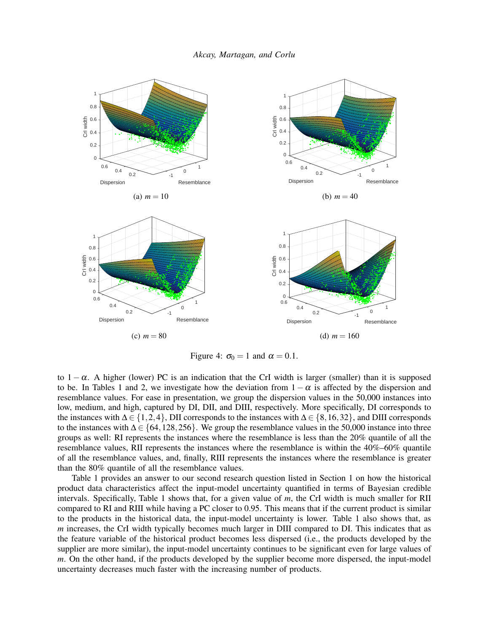(a)  $m = 10$  (b)  $m = 40$ 

(c) 
$$
m = 80
$$
 (d)  $m = 160$ 

Figure 4: 
$$
\sigma_0 = 1
$$
 and  $\alpha = 0.1$ .

to  $1-\alpha$ . A higher (lower) PC is an indication that the CrI width is larger (smaller) than it is supposed to be. In Tables 1 and 2, we investigate how the deviation from  $1-\alpha$  is affected by the dispersion and resemblance values. For ease in presentation, we group the dispersion values in the 50,000 instances into low, medium, and high, captured by DI, DII, and DIII, respectively. More specifically, DI corresponds to the instances with  $\Delta \in \{1,2,4\}$ , DII corresponds to the instances with  $\Delta \in \{8,16,32\}$ , and DIII corresponds to the instances with  $\Delta \in \{64, 128, 256\}$ . We group the resemblance values in the 50,000 instance into three groups as well: RI represents the instances where the resemblance is less than the 20% quantile of all the resemblance values, RII represents the instances where the resemblance is within the 40%–60% quantile of all the resemblance values, and, finally, RIII represents the instances where the resemblance is greater than the 80% quantile of all the resemblance values.

Table 1 provides an answer to our second research question listed in Section 1 on how the historical product data characteristics affect the input-model uncertainty quantified in terms of Bayesian credible intervals. Specifically, Table 1 shows that, for a given value of *m*, the CrI width is much smaller for RII compared to RI and RIII while having a PC closer to 0.95. This means that if the current product is similar to the products in the historical data, the input-model uncertainty is lower. Table 1 also shows that, as *m* increases, the CrI width typically becomes much larger in DIII compared to DI. This indicates that as the feature variable of the historical product becomes less dispersed (i.e., the products developed by the supplier are more similar), the input-model uncertainty continues to be significant even for large values of *m*. On the other hand, if the products developed by the supplier become more dispersed, the input-model uncertainty decreases much faster with the increasing number of products.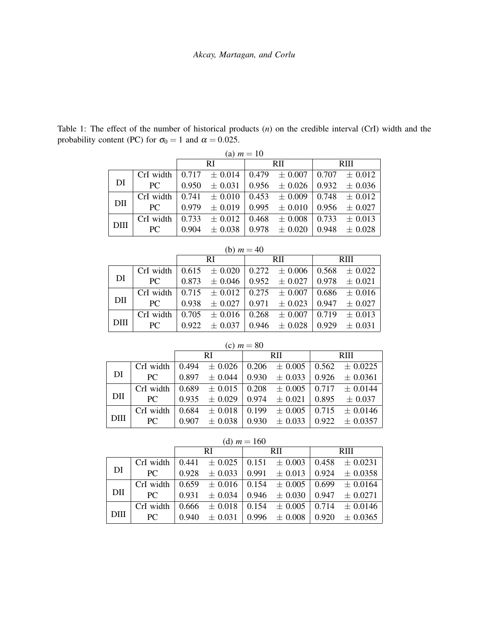Table 1: The effect of the number of historical products (*n*) on the credible interval (CrI) width and the probability content (PC) for  $\sigma_0 = 1$  and  $\alpha = 0.025$ .

| (a) $m = 10$ |           |       |                                                 |  |                                                                         |       |                   |  |
|--------------|-----------|-------|-------------------------------------------------|--|-------------------------------------------------------------------------|-------|-------------------|--|
|              |           |       | RI                                              |  | <b>RII</b>                                                              |       | <b>RIII</b>       |  |
|              | CrI width |       | $0.717 \pm 0.014 \pm 0.479 \pm 0.007 \pm 0.707$ |  |                                                                         |       | $\pm 0.012$       |  |
| DI           | PC        |       | $0.950 \pm 0.031$                               |  | $\begin{array}{cccc} 0.956 & \pm 0.026 & 0.932 & \pm 0.036 \end{array}$ |       |                   |  |
| DII          | CrI width |       | $0.741 \pm 0.010$                               |  | $0.453 \pm 0.009$                                                       |       | $0.748 \pm 0.012$ |  |
|              | PC.       | 0.979 | $\pm$ 0.019                                     |  | $0.995 \pm 0.010$                                                       |       | $0.956 \pm 0.027$ |  |
| <b>DIII</b>  | CrI width |       | $0.733 \pm 0.012$                               |  | $0.468 \pm 0.008$                                                       | 0.733 | $\pm 0.013$       |  |
|              | PC        | 0.904 | $\pm 0.038$                                     |  | $0.978 \pm 0.020$                                                       | 0.948 | $\pm$ 0.028       |  |

| (b) $m = 40$ |                                                                                                                                                           |       |             |  |                                                             |       |                   |  |  |
|--------------|-----------------------------------------------------------------------------------------------------------------------------------------------------------|-------|-------------|--|-------------------------------------------------------------|-------|-------------------|--|--|
|              |                                                                                                                                                           |       | <b>RI</b>   |  | <b>RII</b>                                                  |       | <b>RIII</b>       |  |  |
|              | CrI width $\begin{array}{ l} 0.615 \pm 0.020 \pm 0.272 \pm 0.006 \pm 0.568 \pm 0.022 \end{array}$                                                         |       |             |  |                                                             |       |                   |  |  |
| DI           | PC.                                                                                                                                                       |       |             |  | $0.873 \pm 0.046 \pm 0.952 \pm 0.027 \pm 0.978 \pm 0.021$   |       |                   |  |  |
|              | CrI width $\begin{array}{ l} 0.715 \pm 0.012 \end{array}$ $\begin{array}{ l} 0.275 \pm 0.007 \end{array}$ $\begin{array}{ l} 0.686 \pm 0.016 \end{array}$ |       |             |  |                                                             |       |                   |  |  |
| DII          | PC.                                                                                                                                                       |       |             |  | $0.938 \pm 0.027 \pm 0.971 \pm 0.023$                       |       | $0.947 \pm 0.027$ |  |  |
| DIII         | CrI width                                                                                                                                                 |       |             |  | $0.705 \pm 0.016 \pm 0.268 \pm 0.007 \pm 0.719 \pm 0.013$   |       |                   |  |  |
|              | PC.                                                                                                                                                       | 0.922 | $\pm$ 0.037 |  | $\begin{array}{ c} 0.946 \end{array} \pm 0.028 \end{array}$ | 0.929 | $\pm 0.031$       |  |  |

| (c) $m = 80$ |           |       |                                       |  |            |             |                                                      |  |  |
|--------------|-----------|-------|---------------------------------------|--|------------|-------------|------------------------------------------------------|--|--|
|              | <b>RI</b> |       |                                       |  | <b>RII</b> | <b>RIII</b> |                                                      |  |  |
|              | CrI width | 0.494 |                                       |  |            |             | $\pm$ 0.026   0.206 $\pm$ 0.005   0.562 $\pm$ 0.0225 |  |  |
| DI           | PC        | 0.897 | $\pm$ 0.044   0.930 $\pm$ 0.033       |  |            |             | $0.926 \pm 0.0361$                                   |  |  |
|              | CrI width |       | $0.689 \pm 0.015 \pm 0.208 \pm 0.005$ |  |            |             | $0.717 \pm 0.0144$                                   |  |  |
| DII          | PC.       | 0.935 | $\pm$ 0.029   0.974 $\pm$ 0.021       |  |            |             | $0.895 \pm 0.037$                                    |  |  |
| DIII         | CrI width | 0.684 | $\pm$ 0.018   0.199 $\pm$ 0.005       |  |            |             | $0.715 \pm 0.0146$                                   |  |  |
|              | PC        | 0.907 | $\pm$ 0.038   0.930 $\pm$ 0.033       |  |            |             | $0.922 \pm 0.0357$                                   |  |  |

(d)  $m = 160$ 

|      |  | RI. | RII | <b>RIII</b>                                                                                     |
|------|--|-----|-----|-------------------------------------------------------------------------------------------------|
|      |  |     |     | CrI width $\begin{array}{ l} 0.441 \pm 0.025 \end{array}$ 0.151 $\pm 0.003$ 0.458 $\pm 0.0231$  |
| DI   |  |     |     | PC $\begin{array}{ l} 0.928 \pm 0.033 \pm 0.991 \pm 0.013 \pm 0.924 \pm 0.0358 \end{array}$     |
|      |  |     |     | CrI width $\begin{array}{ l} 0.659 \pm 0.016 \end{array}$ 0.154 $\pm 0.005$ 0.699 $\pm 0.0164$  |
| DII  |  |     |     | PC $\begin{array}{ l} \n\end{array}$ 0.931 $\pm$ 0.034   0.946 $\pm$ 0.030   0.947 $\pm$ 0.0271 |
|      |  |     |     | CrI width $\vert 0.666 \pm 0.018 \vert 0.154 \pm 0.005 \vert 0.714 \pm 0.0146 \vert$            |
| DIII |  |     |     | PC $\begin{array}{ l} 0.940 \pm 0.031 \pm 0.996 \pm 0.008 \pm 0.920 \pm 0.0365 \end{array}$     |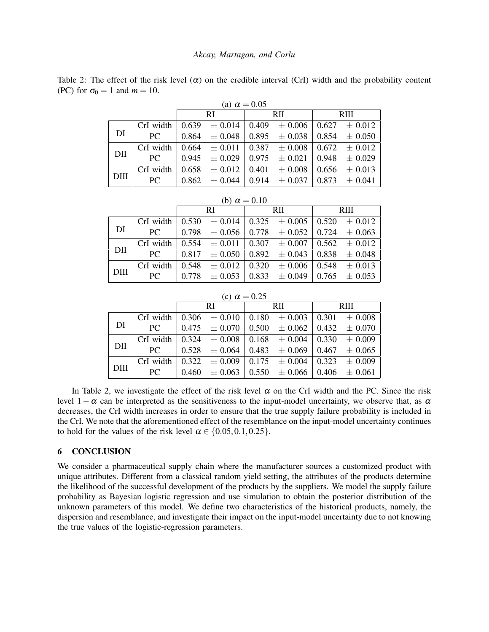Table 2: The effect of the risk level ( $\alpha$ ) on the credible interval (CrI) width and the probability content (PC) for  $\sigma_0 = 1$  and  $m = 10$ .

| $(14)$ $\mu = 0.03$ |                                                                                                                                                           |     |                                                                                                                                                       |            |  |             |  |  |  |
|---------------------|-----------------------------------------------------------------------------------------------------------------------------------------------------------|-----|-------------------------------------------------------------------------------------------------------------------------------------------------------|------------|--|-------------|--|--|--|
|                     |                                                                                                                                                           | RI. |                                                                                                                                                       | <b>RII</b> |  | <b>RIII</b> |  |  |  |
|                     | CrI width $\begin{array}{ l} 0.639 \pm 0.014 \end{array}$ $\begin{array}{ l} 0.409 \pm 0.006 \end{array}$ $\begin{array}{ l} 0.627 \pm 0.012 \end{array}$ |     |                                                                                                                                                       |            |  |             |  |  |  |
| DI                  | PC                                                                                                                                                        |     | $0.864 \pm 0.048 \pm 0.895 \pm 0.038 \pm 0.854 \pm 0.050$                                                                                             |            |  |             |  |  |  |
| DII                 | CrI width $\vert 0.664 \pm 0.011 \vert 0.387 \pm 0.008 \vert 0.672 \pm 0.012$                                                                             |     |                                                                                                                                                       |            |  |             |  |  |  |
|                     | PC –                                                                                                                                                      |     | $0.945 \pm 0.029 \pm 0.975 \pm 0.021 \pm 0.948 \pm 0.029$                                                                                             |            |  |             |  |  |  |
| DIII                | CrI width $\vert 0.658 \pm 0.012 \vert 0.401 \pm 0.008 \vert 0.656 \pm 0.013$                                                                             |     |                                                                                                                                                       |            |  |             |  |  |  |
|                     | PC.                                                                                                                                                       |     | $\begin{array}{ l} 0.862 \end{array}$ $\pm$ 0.044 $\begin{array}{ l} 0.914 \end{array}$ $\pm$ 0.037 $\begin{array}{ l} 0.873 \end{array}$ $\pm$ 0.041 |            |  |             |  |  |  |

(a)  $\alpha = 0.05$ 

| x |  | 0 |
|---|--|---|
|   |  |   |

|      |                                                                                                                                                           | <b>RI</b> |  | RII. |                                                                                                                                     | <b>RIII</b> |  |
|------|-----------------------------------------------------------------------------------------------------------------------------------------------------------|-----------|--|------|-------------------------------------------------------------------------------------------------------------------------------------|-------------|--|
|      | CrI width $\vert 0.530 \pm 0.014 \vert 0.325 \pm 0.005 \vert 0.520 \pm 0.012$                                                                             |           |  |      |                                                                                                                                     |             |  |
| DI   |                                                                                                                                                           |           |  |      | PC $\begin{array}{ l} \n\end{array}$ 0.798 $\pm$ 0.056   0.778 $\pm$ 0.052   0.724 $\pm$ 0.063                                      |             |  |
| DII  | CrI width $\begin{array}{ l} 0.554 \pm 0.011 \end{array}$ $\begin{array}{ l} 0.307 \pm 0.007 \end{array}$ $\begin{array}{ l} 0.562 \pm 0.012 \end{array}$ |           |  |      |                                                                                                                                     |             |  |
|      |                                                                                                                                                           |           |  |      | PC $\begin{array}{ l} 0.817 \pm 0.050 \pm 0.892 \pm 0.043 \pm 0.838 \pm 0.048 \end{array}$                                          |             |  |
| DIII | CrI width $\begin{array}{ l} 0.548 \pm 0.012 \end{array}$ = 0.320 $\pm$ 0.006   0.548 $\pm$ 0.013                                                         |           |  |      |                                                                                                                                     |             |  |
|      | PC —                                                                                                                                                      |           |  |      | $\begin{array}{ l}0.778\pm0.053\end{array}$ $\begin{array}{ l}0.833\pm0.049\end{array}$ $\begin{array}{ l}0.765\pm0.053\end{array}$ |             |  |

(c)  $\alpha = 0.25$ 

| $\sim$ , $\infty$ $ \sim$ . $\sim$ $\sim$ |                                                                                                                                                             |     |  |      |                                                                                            |             |  |  |  |
|-------------------------------------------|-------------------------------------------------------------------------------------------------------------------------------------------------------------|-----|--|------|--------------------------------------------------------------------------------------------|-------------|--|--|--|
|                                           |                                                                                                                                                             | RI. |  | RII. |                                                                                            | <b>RIII</b> |  |  |  |
| DI                                        | CrI width $\begin{array}{ l} 0.306 \end{array}$ $\pm 0.010 \begin{array}{ l} 0.180 \end{array}$ $\pm 0.003 \begin{array}{ l} 0.301 \end{array}$ $\pm 0.008$ |     |  |      |                                                                                            |             |  |  |  |
|                                           |                                                                                                                                                             |     |  |      | PC $\begin{array}{ l} 0.475 \pm 0.070 \pm 0.500 \pm 0.062 \pm 0.432 \pm 0.070 \end{array}$ |             |  |  |  |
| DII                                       | CrI width $\vert 0.324 \pm 0.008 \vert 0.168 \pm 0.004 \vert 0.330 \pm 0.009$                                                                               |     |  |      |                                                                                            |             |  |  |  |
|                                           | PC                                                                                                                                                          |     |  |      | $\begin{array}{ l}0.528\pm0.064\!0.483\pm0.069\,0.467\pm0.065\end{array}$                  |             |  |  |  |
| DIII                                      | CrI width $\begin{array}{ l} 0.322 \pm 0.009 \end{array}$ $\begin{array}{ l} 0.175 \pm 0.004 \end{array}$ $\begin{array}{ l} 0.323 \pm 0.009 \end{array}$   |     |  |      |                                                                                            |             |  |  |  |
|                                           |                                                                                                                                                             |     |  |      | PC $\begin{array}{ l} 0.460 \pm 0.063 \pm 0.550 \pm 0.066 \pm 0.406 \pm 0.061 \end{array}$ |             |  |  |  |

In Table 2, we investigate the effect of the risk level  $\alpha$  on the CrI width and the PC. Since the risk level  $1-\alpha$  can be interpreted as the sensitiveness to the input-model uncertainty, we observe that, as  $\alpha$ decreases, the CrI width increases in order to ensure that the true supply failure probability is included in the CrI. We note that the aforementioned effect of the resemblance on the input-model uncertainty continues to hold for the values of the risk level  $\alpha \in \{0.05, 0.1, 0.25\}.$ 

### 6 CONCLUSION

We consider a pharmaceutical supply chain where the manufacturer sources a customized product with unique attributes. Different from a classical random yield setting, the attributes of the products determine the likelihood of the successful development of the products by the suppliers. We model the supply failure probability as Bayesian logistic regression and use simulation to obtain the posterior distribution of the unknown parameters of this model. We define two characteristics of the historical products, namely, the dispersion and resemblance, and investigate their impact on the input-model uncertainty due to not knowing the true values of the logistic-regression parameters.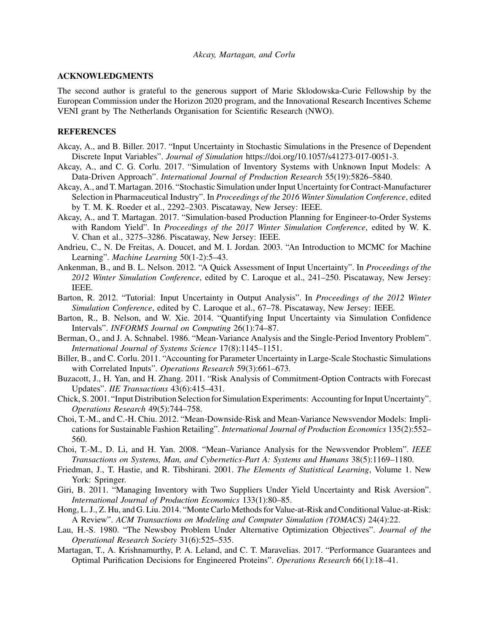### ACKNOWLEDGMENTS

The second author is grateful to the generous support of Marie Sklodowska-Curie Fellowship by the European Commission under the Horizon 2020 program, and the Innovational Research Incentives Scheme VENI grant by The Netherlands Organisation for Scientific Research (NWO).

## **REFERENCES**

- Akcay, A., and B. Biller. 2017. "Input Uncertainty in Stochastic Simulations in the Presence of Dependent Discrete Input Variables". *Journal of Simulation* https://doi.org/10.1057/s41273-017-0051-3.
- Akcay, A., and C. G. Corlu. 2017. "Simulation of Inventory Systems with Unknown Input Models: A Data-Driven Approach". *International Journal of Production Research* 55(19):5826–5840.
- Akcay, A., and T. Martagan. 2016. "Stochastic Simulation under Input Uncertainty for Contract-Manufacturer Selection in Pharmaceutical Industry". In *Proceedings of the 2016 Winter Simulation Conference*, edited by T. M. K. Roeder et al., 2292–2303. Piscataway, New Jersey: IEEE.
- Akcay, A., and T. Martagan. 2017. "Simulation-based Production Planning for Engineer-to-Order Systems with Random Yield". In *Proceedings of the 2017 Winter Simulation Conference*, edited by W. K. V. Chan et al., 3275–3286. Piscataway, New Jersey: IEEE.
- Andrieu, C., N. De Freitas, A. Doucet, and M. I. Jordan. 2003. "An Introduction to MCMC for Machine Learning". *Machine Learning* 50(1-2):5–43.
- Ankenman, B., and B. L. Nelson. 2012. "A Quick Assessment of Input Uncertainty". In *Proceedings of the 2012 Winter Simulation Conference*, edited by C. Laroque et al., 241–250. Piscataway, New Jersey: IEEE.
- Barton, R. 2012. "Tutorial: Input Uncertainty in Output Analysis". In *Proceedings of the 2012 Winter Simulation Conference*, edited by C. Laroque et al., 67–78. Piscataway, New Jersey: IEEE.
- Barton, R., B. Nelson, and W. Xie. 2014. "Quantifying Input Uncertainty via Simulation Confidence Intervals". *INFORMS Journal on Computing* 26(1):74–87.
- Berman, O., and J. A. Schnabel. 1986. "Mean-Variance Analysis and the Single-Period Inventory Problem". *International Journal of Systems Science* 17(8):1145–1151.
- Biller, B., and C. Corlu. 2011. "Accounting for Parameter Uncertainty in Large-Scale Stochastic Simulations with Correlated Inputs". *Operations Research* 59(3):661–673.
- Buzacott, J., H. Yan, and H. Zhang. 2011. "Risk Analysis of Commitment-Option Contracts with Forecast Updates". *IIE Transactions* 43(6):415–431.
- Chick, S. 2001. "Input Distribution Selection for Simulation Experiments: Accounting for Input Uncertainty". *Operations Research* 49(5):744–758.
- Choi, T.-M., and C.-H. Chiu. 2012. "Mean-Downside-Risk and Mean-Variance Newsvendor Models: Implications for Sustainable Fashion Retailing". *International Journal of Production Economics* 135(2):552– 560.
- Choi, T.-M., D. Li, and H. Yan. 2008. "Mean–Variance Analysis for the Newsvendor Problem". *IEEE Transactions on Systems, Man, and Cybernetics-Part A: Systems and Humans* 38(5):1169–1180.
- Friedman, J., T. Hastie, and R. Tibshirani. 2001. *The Elements of Statistical Learning*, Volume 1. New York: Springer.
- Giri, B. 2011. "Managing Inventory with Two Suppliers Under Yield Uncertainty and Risk Aversion". *International Journal of Production Economics* 133(1):80–85.
- Hong, L. J., Z. Hu, and G. Liu. 2014. "Monte Carlo Methods for Value-at-Risk and Conditional Value-at-Risk: A Review". *ACM Transactions on Modeling and Computer Simulation (TOMACS)* 24(4):22.
- Lau, H.-S. 1980. "The Newsboy Problem Under Alternative Optimization Objectives". *Journal of the Operational Research Society* 31(6):525–535.
- Martagan, T., A. Krishnamurthy, P. A. Leland, and C. T. Maravelias. 2017. "Performance Guarantees and Optimal Purification Decisions for Engineered Proteins". *Operations Research* 66(1):18–41.